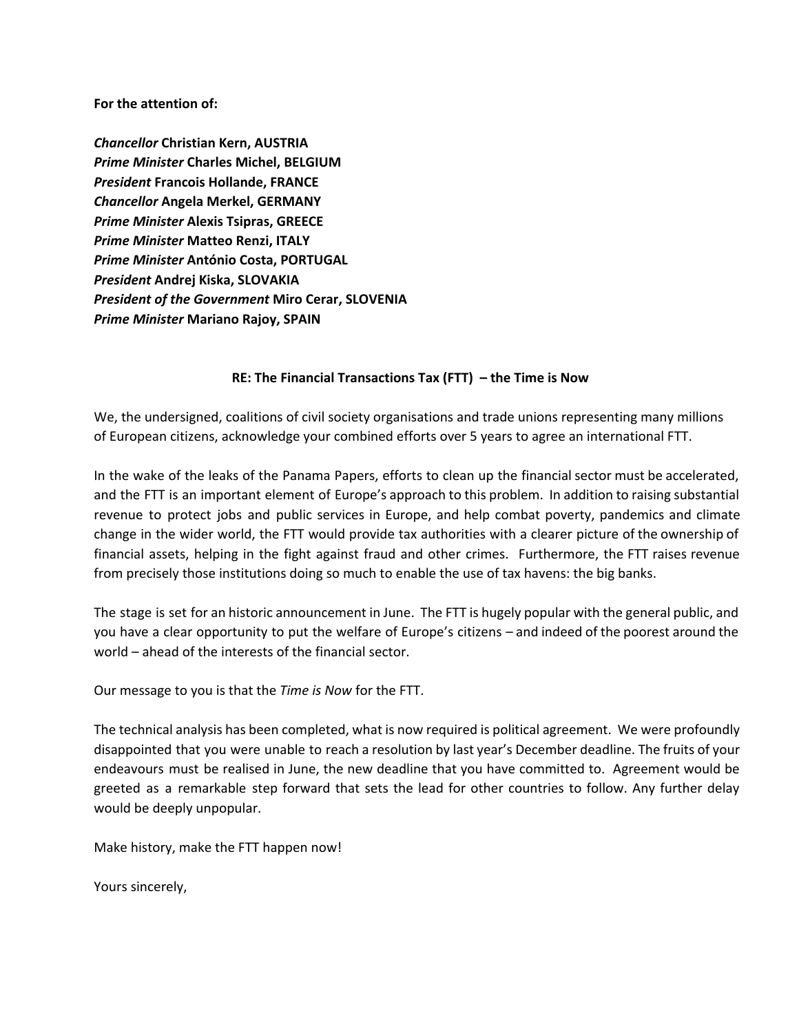**For the attention of:**

*Chancellor***Christian Kern, AUSTRIA** *Prime Minister***Charles Michel, BELGIUM** *President***Francois Hollande, FRANCE** *Chancellor***Angela Merkel, GERMANY** *Prime Minister***Alexis Tsipras, GREECE** *Prime Minister***Matteo Renzi, ITALY** *Prime Minister***António Costa, PORTUGAL** *President***Andrej Kiska, SLOVAKIA** *President of the Government***Miro Cerar, SLOVENIA** *Prime Minister* **Mariano Rajoy, SPAIN**

## **RE: The Financial Transactions Tax (FTT) – the Time is Now**

We, the undersigned, coalitions of civil society organisations and trade unions representing many millions of European citizens, acknowledge your combined efforts over 5 years to agree an international FTT.

In the wake of the leaks of the Panama Papers, efforts to clean up the financial sector must be accelerated, and the FTT is an important element of Europe's approach to this problem. In addition to raising substantial revenue to protect jobs and public services in Europe, and help combat poverty, pandemics and climate change in the wider world, the FTT would provide tax authorities with a clearer picture of the ownership of financial assets, helping in the fight against fraud and other crimes. Furthermore, the FTT raises revenue from precisely those institutions doing so much to enable the use of tax havens: the big banks.

The stage is set for an historic announcement in June. The FTT is hugely popular with the general public, and you have a clear opportunity to put the welfare of Europe's citizens – and indeed of the poorest around the world – ahead of the interests of the financial sector.

Our message to you is that the *Time is Now* for the FTT.

The technical analysis has been completed, what is now required is political agreement. We were profoundly disappointed that you were unable to reach a resolution by last year's December deadline. The fruits of your endeavours must be realised in June, the new deadline that you have committed to. Agreement would be greeted as a remarkable step forward that sets the lead for other countries to follow. Any further delay would be deeply unpopular.

Make history, make the FTT happen now!

Yours sincerely,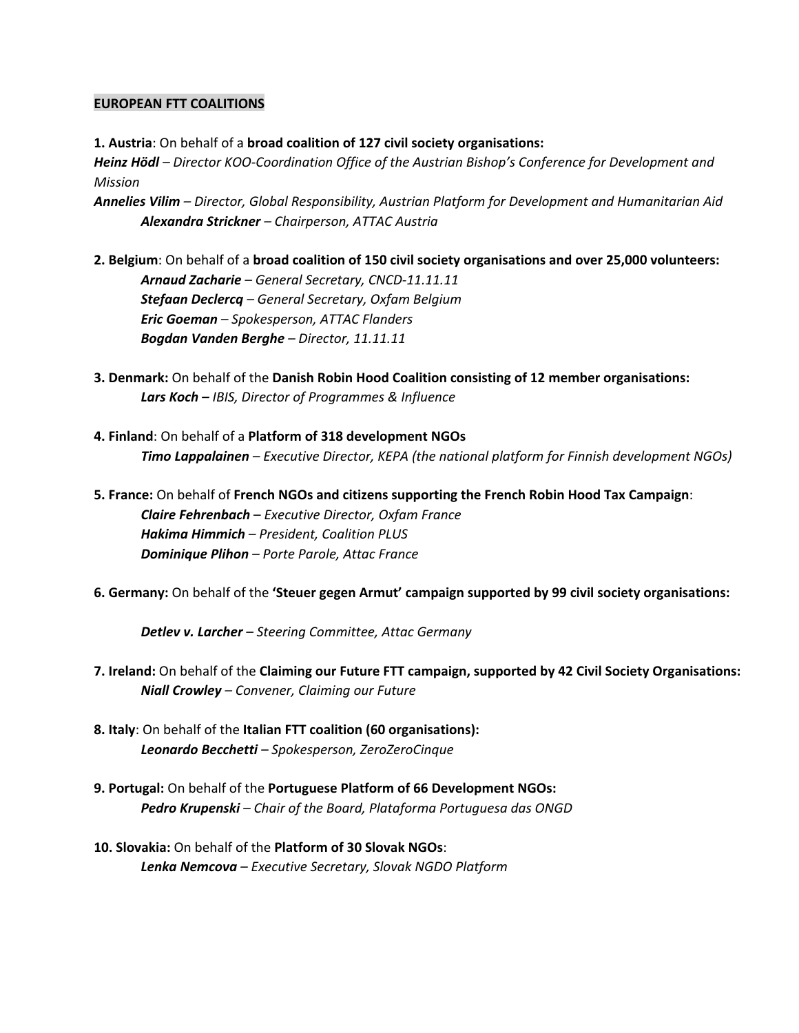## **EUROPEAN FTT COALITIONS**

**1. Austria**: On behalf of a **broad coalition of 127 civil society organisations:** *Heinz Hödl* – *Director KOO-Coordination Office of the Austrian Bishop's Conference for Development and Mission*

*Annelies Vilim– Director, Global Responsibility, Austrian Platform for Development and Humanitarian Aid Alexandra Strickner– Chairperson, ATTAC Austria*

- **2.Belgium**: On behalf of a **broad coalition of 150 civil society organisations and over 25,000 volunteers:** *Arnaud Zacharie– General Secretary, CNCD11.11.11 Stefaan Declercq– General Secretary, Oxfam Belgium Eric Goeman– Spokesperson, ATTAC Flanders Bogdan Vanden Berghe– Director, 11.11.11*
- **3.Denmark:** On behalf of the **Danish Robin Hood Coalition consisting of 12 member organisations:** *Lars Koch –IBIS, Director of Programmes & Influence*
- **4.Finland**: On behalf of a **Platform of 318 development NGOs** *Timo Lappalainen– Executive Director, KEPA (the national platform for Finnish development NGOs)*
- **5. France:**On behalf of **French NGOs and citizens supporting the French Robin Hood Tax Campaign**: *Claire Fehrenbach*– *Executive Director, Oxfam France Hakima Himmich– President, Coalition PLUS Dominique Plihon – Porte Parole, Attac France*
- **6.Germany:**On behalf of the **'Steuer gegen Armut' campaign supported by 99 civil society organisations:**

*Detlev v. Larcher– Steering Committee, Attac Germany*

- **7. Ireland:**On behalf of the **Claiming our Future FTT campaign, supported by 42 Civil Society Organisations:** *Niall Crowley– Convener, Claiming our Future*
- **8. Italy**: On behalf of the **Italian FTT coalition (60 organisations):** *Leonardo Becchetti– Spokesperson, ZeroZeroCinque*
- **9. Portugal:**On behalf of the **Portuguese Platform of 66 Development NGOs:** *Pedro Krupenski– Chair of the Board, Plataforma Portuguesa das ONGD*
- **10.Slovakia:**On behalf of the **Platform of 30 Slovak NGOs**: *Lenka Nemcova– Executive Secretary, Slovak NGDO Platform*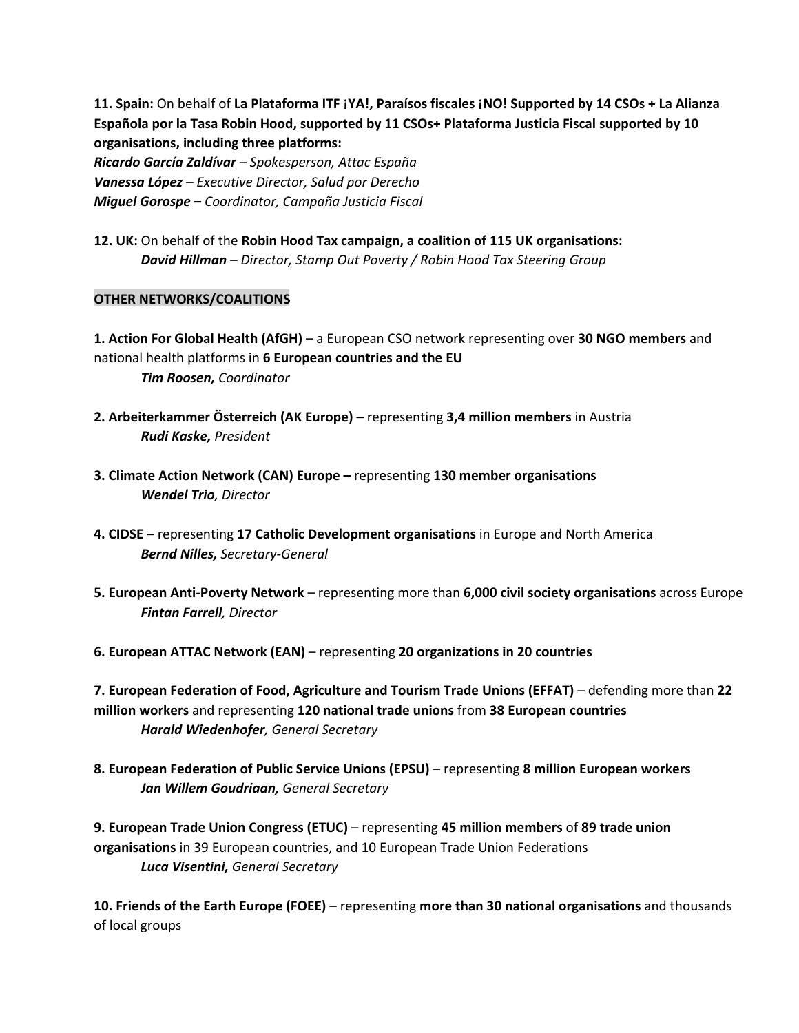**11. Spain:**On behalf of **La Plataforma ITF ¡YA!, Paraísos fiscales ¡NO! Supported by 14 CSOs + La Alianza Española por la Tasa Robin Hood, supported by 11 CSOs+ Plataforma Justicia Fiscal supported by 10 organisations, including three platforms:**

*Ricardo García Zaldívar– Spokesperson, Attac España Vanessa López– Executive Director, Salud por Derecho Miguel Gorospe* **–** *Coordinator, Campaña Justicia Fiscal*

**12. UK:**On behalf of the **Robin Hood Tax campaign, a coalition of 115 UK organisations:** *David Hillman– Director, Stamp Out Poverty / Robin Hood Tax Steering Group*

## **OTHER NETWORKS/COALITIONS**

**1. Action For Global Health (AfGH)**– a European CSO network representing over **30 NGO members**and national health platforms in **6 European countries and the EU** *Tim Roosen,Coordinator*

- **2. Arbeiterkammer Österreich (AK Europe) –** representing **3,4 million members** in Austria *Rudi Kaske,President*
- **3. Climate Action Network (CAN) Europe –**representing **130 member organisations** *Wendel Trio, Director*
- **4. CIDSE –**representing **17 Catholic Development organisations**in Europe and North America **Bernd Nilles, Secretary-General**
- **5. European AntiPoverty Network** representing more than **6,000 civil society organisations** across Europe *Fintan Farrell, Director*
- **6. European ATTAC Network (EAN)** representing **20 organizations in 20 countries**

**7. European Federation of Food, Agriculture and Tourism Trade Unions (EFFAT)**– defending more than **22 million workers**and representing **120 national trade unions**from **38 European countries** *Harald Wiedenhofer, General Secretary*

**8. European Federation of Public Service Unions (EPSU)**– representing **8 million European workers** *Jan Willem Goudriaan,General Secretary*

**9. European Trade Union Congress (ETUC)**– representing **45 million members**of **89 trade union organisations**in 39 European countries, and 10 European Trade Union Federations *Luca Visentini,General Secretary*

**10. Friends of the Earth Europe (FOEE)** – representing **more than 30 national organisations**and thousands of local groups